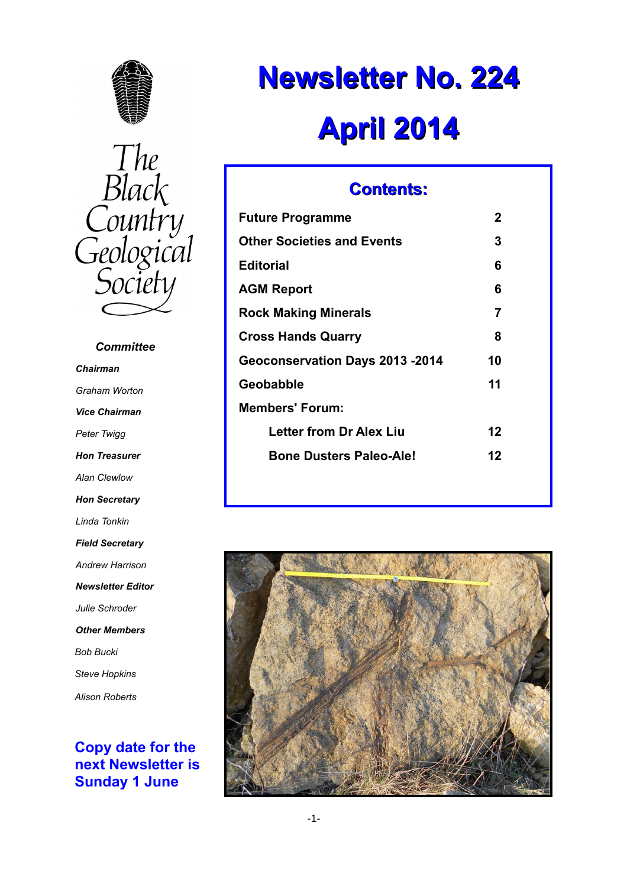



# *Committee Chairman Graham Worton Vice Chairman Peter Twigg Hon Treasurer Alan Clewlow Hon Secretary Linda Tonkin Field Secretary Andrew Harrison Newsletter Editor Julie Schroder Other Members Bob Bucki Steve Hopkins Alison Roberts*

### **Copy date for the next Newsletter is Sunday 1 June**

# **Newsletter No. 224 April 2014**

# **Contents:**

| <b>Future Programme</b>           | 2  |
|-----------------------------------|----|
| <b>Other Societies and Events</b> | 3  |
| Editorial                         | 6  |
| AGM Report                        | 6  |
| <b>Rock Making Minerals</b>       | 7  |
| <b>Cross Hands Quarry</b>         | 8  |
| Geoconservation Days 2013 -2014   | 10 |
| Geobabble                         | 11 |
| <b>Members' Forum:</b>            |    |
| Letter from Dr Alex Liu           | 12 |
| <b>Bone Dusters Paleo-Ale!</b>    | 12 |
|                                   |    |

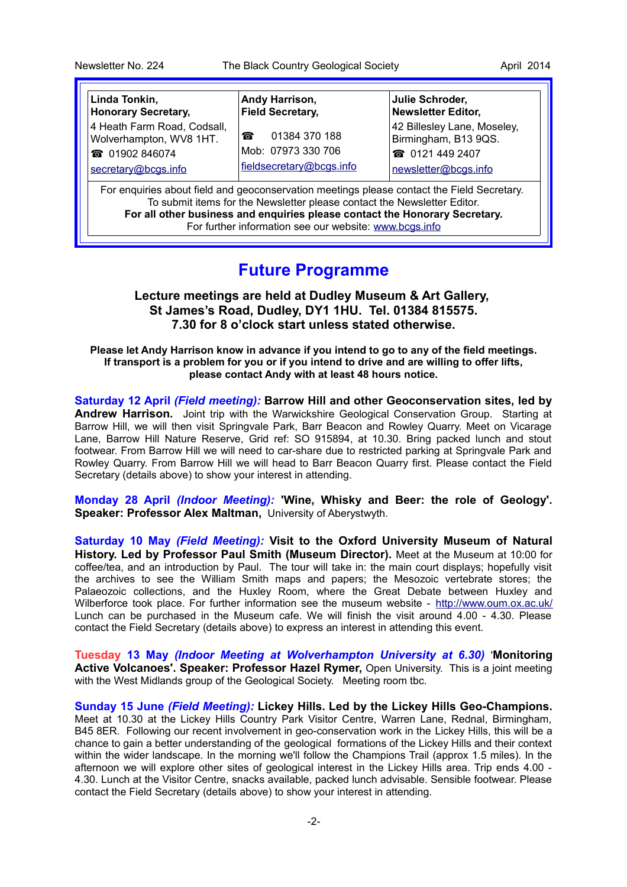| Linda Tonkin,                                                                                                                                                          | Andy Harrison,           | Julie Schroder,             |  |  |
|------------------------------------------------------------------------------------------------------------------------------------------------------------------------|--------------------------|-----------------------------|--|--|
| <b>Honorary Secretary,</b>                                                                                                                                             | <b>Field Secretary,</b>  | <b>Newsletter Editor,</b>   |  |  |
| 4 Heath Farm Road, Codsall,                                                                                                                                            | 01384 370 188            | 42 Billesley Lane, Moseley, |  |  |
| Wolverhampton, WV8 1HT.                                                                                                                                                | 裔                        | Birmingham, B13 9QS.        |  |  |
| <b>@</b> 01902 846074                                                                                                                                                  | Mob: 07973 330 706       | <b>@</b> 0121 449 2407      |  |  |
| secretary@bcgs.info                                                                                                                                                    | fieldsecretary@bcgs.info | newsletter@bcgs.info        |  |  |
| For enquiries about field and geoconservation meetings please contact the Field Secretary.<br>To submit items for the Newsletter please contact the Newsletter Editor. |                          |                             |  |  |

**For all other business and enquiries please contact the Honorary Secretary.** For further information see our website: [www.bcgs.info](http://www.bcgs.info/)

# **Future Programme**

### **Lecture meetings are held at Dudley Museum & Art Gallery, St James's Road, Dudley, DY1 1HU. Tel. 01384 815575. 7.30 for 8 o'clock start unless stated otherwise.**

**Please let Andy Harrison know in advance if you intend to go to any of the field meetings. If transport is a problem for you or if you intend to drive and are willing to offer lifts, please contact Andy with at least 48 hours notice.**

**Saturday 12 April** *(Field meeting):* **Barrow Hill and other Geoconservation sites, led by Andrew Harrison.** Joint trip with the Warwickshire Geological Conservation Group. Starting at Barrow Hill, we will then visit Springvale Park, Barr Beacon and Rowley Quarry. Meet on Vicarage Lane, Barrow Hill Nature Reserve, Grid ref: SO 915894, at 10.30. Bring packed lunch and stout footwear. From Barrow Hill we will need to car-share due to restricted parking at Springvale Park and Rowley Quarry. From Barrow Hill we will head to Barr Beacon Quarry first. Please contact the Field Secretary (details above) to show your interest in attending.

**Monday 28 April** *(Indoor Meeting):* **'Wine, Whisky and Beer: the role of Geology'. Speaker: Professor Alex Maltman,** University of Aberystwyth.

**Saturday 10 May** *(Field Meeting):* **Visit to the Oxford University Museum of Natural History. Led by Professor Paul Smith (Museum Director).** Meet at the Museum at 10:00 for coffee/tea, and an introduction by Paul. The tour will take in: the main court displays; hopefully visit the archives to see the William Smith maps and papers; the Mesozoic vertebrate stores; the Palaeozoic collections, and the Huxley Room, where the Great Debate between Huxley and Wilberforce took place. For further information see the museum website -<http://www.oum.ox.ac.uk/> Lunch can be purchased in the Museum cafe. We will finish the visit around 4.00 - 4.30. Please contact the Field Secretary (details above) to express an interest in attending this event.

**Tuesday 13 May** *(Indoor Meeting at Wolverhampton University at 6.30)* '**Monitoring Active Volcanoes'. Speaker: Professor Hazel Rymer,** Open University. This is a joint meeting with the West Midlands group of the Geological Society. Meeting room tbc.

**Sunday 15 June** *(Field Meeting):* **Lickey Hills. Led by the Lickey Hills Geo-Champions.** Meet at 10.30 at the Lickey Hills Country Park Visitor Centre, Warren Lane, Rednal, Birmingham, B45 8ER. Following our recent involvement in geo-conservation work in the Lickey Hills, this will be a chance to gain a better understanding of the geological formations of the Lickey Hills and their context within the wider landscape. In the morning we'll follow the Champions Trail (approx 1.5 miles). In the afternoon we will explore other sites of geological interest in the Lickey Hills area. Trip ends 4.00 - 4.30. Lunch at the Visitor Centre, snacks available, packed lunch advisable. Sensible footwear. Please contact the Field Secretary (details above) to show your interest in attending.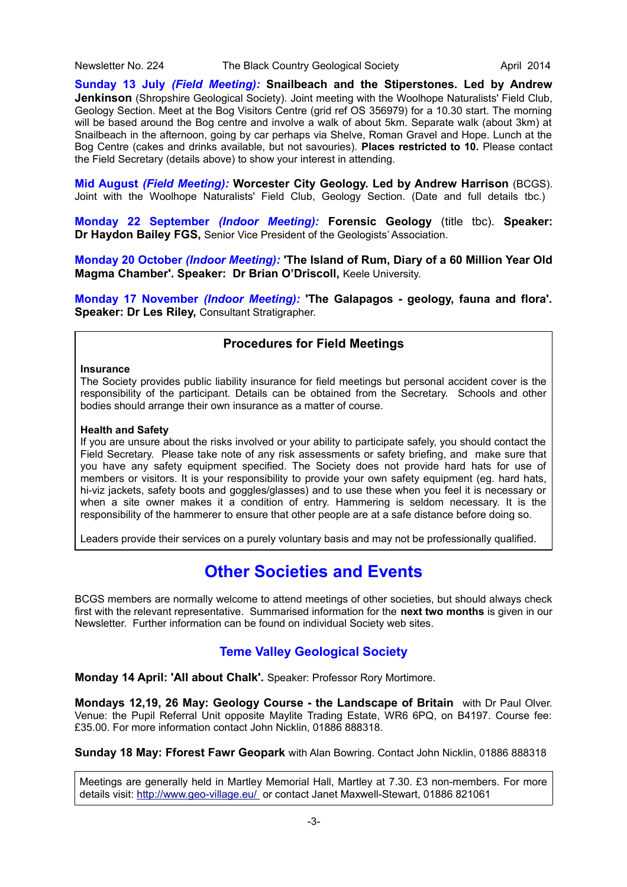**Sunday 13 July** *(Field Meeting):* **Snailbeach and the Stiperstones. Led by Andrew Jenkinson** (Shropshire Geological Society). Joint meeting with the Woolhope Naturalists' Field Club, Geology Section. Meet at the Bog Visitors Centre (grid ref OS 356979) for a 10.30 start. The morning will be based around the Bog centre and involve a walk of about 5km. Separate walk (about 3km) at Snailbeach in the afternoon, going by car perhaps via Shelve, Roman Gravel and Hope. Lunch at the Bog Centre (cakes and drinks available, but not savouries). **Places restricted to 10.** Please contact the Field Secretary (details above) to show your interest in attending.

**Mid August** *(Field Meeting):* **Worcester City Geology. Led by Andrew Harrison** (BCGS). Joint with the Woolhope Naturalists' Field Club, Geology Section. (Date and full details tbc.)

**Monday 22 September** *(Indoor Meeting):* **Forensic Geology** (title tbc). **Speaker: Dr Haydon Bailey FGS,** Senior Vice President of the Geologists' Association.

**Monday 20 October** *(Indoor Meeting):* **'The Island of Rum, Diary of a 60 Million Year Old Magma Chamber'. Speaker: Dr Brian O'Driscoll,** Keele University.

**Monday 17 November** *(Indoor Meeting):* **'The Galapagos - geology, fauna and flora'. Speaker: Dr Les Rilev. Consultant Stratigrapher.** 

### **Procedures for Field Meetings**

#### **Insurance**

The Society provides public liability insurance for field meetings but personal accident cover is the responsibility of the participant. Details can be obtained from the Secretary. Schools and other bodies should arrange their own insurance as a matter of course.

#### **Health and Safety**

If you are unsure about the risks involved or your ability to participate safely, you should contact the Field Secretary. Please take note of any risk assessments or safety briefing, and make sure that you have any safety equipment specified. The Society does not provide hard hats for use of members or visitors. It is your responsibility to provide your own safety equipment (eg. hard hats, hi-viz jackets, safety boots and goggles/glasses) and to use these when you feel it is necessary or when a site owner makes it a condition of entry. Hammering is seldom necessary. It is the responsibility of the hammerer to ensure that other people are at a safe distance before doing so.

Leaders provide their services on a purely voluntary basis and may not be professionally qualified.

# **Other Societies and Events**

BCGS members are normally welcome to attend meetings of other societies, but should always check first with the relevant representative. Summarised information for the **next two months** is given in our Newsletter. Further information can be found on individual Society web sites.

### **Teme Valley Geological Society**

**Monday 14 April: 'All about Chalk'.** Speaker: Professor Rory Mortimore.

**Mondays 12,19, 26 May: Geology Course - the Landscape of Britain** with Dr Paul Olver. Venue: the Pupil Referral Unit opposite Maylite Trading Estate, WR6 6PQ, on B4197. Course fee: £35.00. For more information contact John Nicklin, 01886 888318.

**Sunday 18 May: Fforest Fawr Geopark** with Alan Bowring. Contact John Nicklin, 01886 888318

Meetings are generally held in Martley Memorial Hall, Martley at 7.30. £3 non-members. For more details visit:<http://www.geo-village.eu/>or contact Janet Maxwell-Stewart, 01886 821061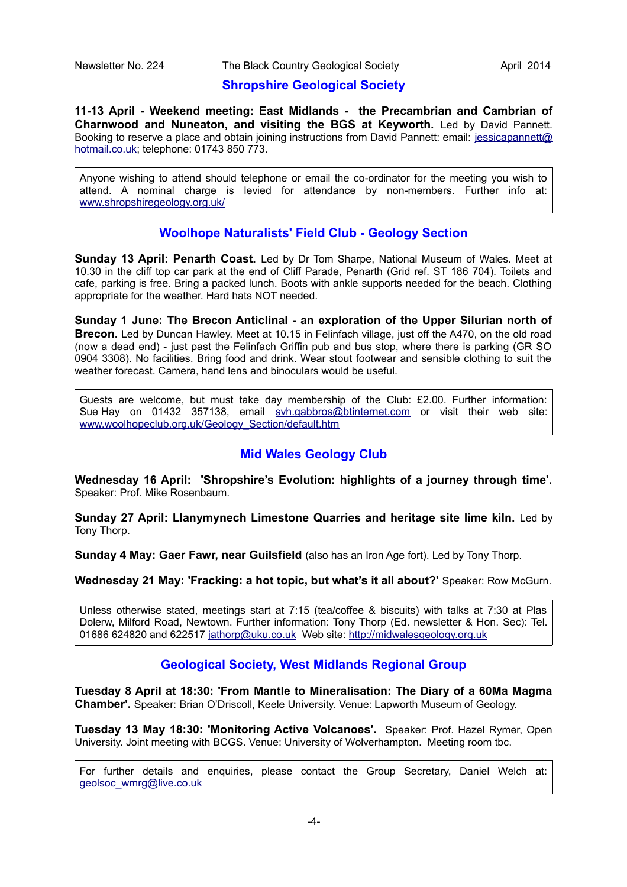### **Shropshire Geological Society**

**11-13 April - Weekend meeting: East Midlands - the Precambrian and Cambrian of Charnwood and Nuneaton, and visiting the BGS at Keyworth.** Led by David Pannett. Booking to reserve a place and obtain joining instructions from David Pannett: email: [jessicapannett@](mailto:jessicapannett@%20hotmail.co.uk) [hotmail.co.uk;](mailto:jessicapannett@%20hotmail.co.uk) telephone: 01743 850 773.

Anyone wishing to attend should telephone or email the co-ordinator for the meeting you wish to attend. A nominal charge is levied for attendance by non-members. Further info at: [www.shropshiregeology.org.uk/](http://www.shropshiregeology.org.uk/)

### **Woolhope Naturalists' Field Club - Geology Section**

**Sunday 13 April: Penarth Coast.** Led by Dr Tom Sharpe, National Museum of Wales. Meet at 10.30 in the cliff top car park at the end of Cliff Parade, Penarth (Grid ref. ST 186 704). Toilets and cafe, parking is free. Bring a packed lunch. Boots with ankle supports needed for the beach. Clothing appropriate for the weather. Hard hats NOT needed.

**Sunday 1 June: The Brecon Anticlinal - an exploration of the Upper Silurian north of Brecon.** Led by Duncan Hawley. Meet at 10.15 in Felinfach village, just off the A470, on the old road (now a dead end) - just past the Felinfach Griffin pub and bus stop, where there is parking (GR SO 0904 3308). No facilities. Bring food and drink. Wear stout footwear and sensible clothing to suit the weather forecast. Camera, hand lens and binoculars would be useful.

Guests are welcome, but must take day membership of the Club: £2.00. Further information: Sue Hav on 01432 357138, email [svh.gabbros@btinternet.com](mailto:svh.gabbros@btinternet.com) or visit their web site: [www.woolhopeclub.org.uk/Geology\\_Section/default.htm](http://www.woolhopeclub.org.uk/Geology_Section/default.htm)

### **Mid Wales Geology Club**

**Wednesday 16 April: 'Shropshire's Evolution: highlights of a journey through time'.** Speaker: Prof. Mike Rosenbaum.

**Sunday 27 April: Llanymynech Limestone Quarries and heritage site lime kiln.** Led by Tony Thorp.

**Sunday 4 May: Gaer Fawr, near Guilsfield** (also has an Iron Age fort). Led by Tony Thorp.

**Wednesday 21 May: 'Fracking: a hot topic, but what's it all about?'** Speaker: Row McGurn.

Unless otherwise stated, meetings start at 7:15 (tea/coffee & biscuits) with talks at 7:30 at Plas Dolerw, Milford Road, Newtown. Further information: Tony Thorp (Ed. newsletter & Hon. Sec): Tel. 01686 624820 and 622517 [jathorp@uku.co.uk](mailto:jathorp@uku.co.uk) Web site: [http://midwalesgeology.org.uk](http://midwalesgeology.org.uk/)

### **Geological Society, West Midlands Regional Group**

**Tuesday 8 April at 18:30: 'From Mantle to Mineralisation: The Diary of a 60Ma Magma Chamber'.** Speaker: Brian O'Driscoll, Keele University. Venue: Lapworth Museum of Geology.

**Tuesday 13 May 18:30: 'Monitoring Active Volcanoes'.** Speaker: Prof. Hazel Rymer, Open University. Joint meeting with BCGS. Venue: University of Wolverhampton. Meeting room tbc.

For further details and enquiries, please contact the Group Secretary, Daniel Welch at: [geolsoc\\_wmrg@live.co.uk](mailto:geolsoc_wmrg@live.co.uk)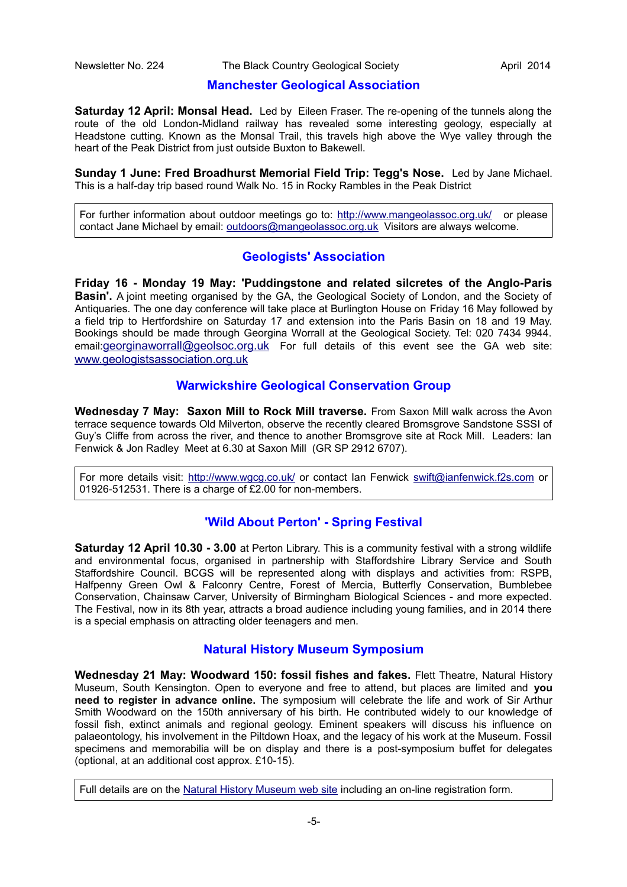#### **Manchester Geological Association**

**Saturday 12 April: Monsal Head.** Led by Eileen Fraser. The re-opening of the tunnels along the route of the old London-Midland railway has revealed some interesting geology, especially at Headstone cutting. Known as the Monsal Trail, this travels high above the Wye valley through the heart of the Peak District from just outside Buxton to Bakewell.

**Sunday 1 June: Fred Broadhurst Memorial Field Trip: Tegg's Nose.** Led by Jane Michael. This is a half-day trip based round Walk No. 15 in Rocky Rambles in the Peak District

For further information about outdoor meetings go to:<http://www.mangeolassoc.org.uk/>or please contact Jane Michael by email: [outdoors@mangeolassoc.org.uk](mailto:outdoors@mangeolassoc.org.uk) Visitors are always welcome.

### **Geologists' Association**

**Friday 16 - Monday 19 May: 'Puddingstone and related silcretes of the Anglo-Paris Basin'.** A joint meeting organised by the GA, the Geological Society of London, and the Society of Antiquaries. The one day conference will take place at Burlington House on Friday 16 May followed by a field trip to Hertfordshire on Saturday 17 and extension into the Paris Basin on 18 and 19 May. Bookings should be made through Georgina Worrall at the Geological Society. Tel: 020 7434 9944. email:[georginaworrall@geolsoc.org.uk](mailto:georginaworrall@geolsoc.org.uk) For full details of this event see the GA web site: [www.geologistsassociation.org.uk](http://www.geologistsassociation.org.uk/)

### **Warwickshire Geological Conservation Group**

**Wednesday 7 May: Saxon Mill to Rock Mill traverse.** From Saxon Mill walk across the Avon terrace sequence towards Old Milverton, observe the recently cleared Bromsgrove Sandstone SSSI of Guy's Cliffe from across the river, and thence to another Bromsgrove site at Rock Mill. Leaders: Ian Fenwick & Jon Radley Meet at 6.30 at Saxon Mill (GR SP 2912 6707).

For more details visit:<http://www.wgcg.co.uk/>or contact Ian Fenwick [swift@ianfenwick.f2s.com](mailto:swift@ianfenwick.f2s.com) or 01926-512531. There is a charge of £2.00 for non-members.

### **'Wild About Perton' - Spring Festival**

**Saturday 12 April 10.30 - 3.00** at Perton Library. This is a community festival with a strong wildlife and environmental focus, organised in partnership with Staffordshire Library Service and South Staffordshire Council. BCGS will be represented along with displays and activities from: RSPB, Halfpenny Green Owl & Falconry Centre, Forest of Mercia, Butterfly Conservation, Bumblebee Conservation, Chainsaw Carver, University of Birmingham Biological Sciences - and more expected. The Festival, now in its 8th year, attracts a broad audience including young families, and in 2014 there is a special emphasis on attracting older teenagers and men.

### **Natural History Museum Symposium**

**Wednesday 21 May: Woodward 150: fossil fishes and fakes.** Flett Theatre, Natural History Museum, South Kensington. Open to everyone and free to attend, but places are limited and **you need to register in advance online.** The symposium will celebrate the life and work of Sir Arthur Smith Woodward on the 150th anniversary of his birth. He contributed widely to our knowledge of fossil fish, extinct animals and regional geology. Eminent speakers will discuss his influence on palaeontology, his involvement in the Piltdown Hoax, and the legacy of his work at the Museum. Fossil specimens and memorabilia will be on display and there is a post-symposium buffet for delegates (optional, at an additional cost approx. £10-15).

Full details are on the [Natural History Museum web site](http://www.nhm.ac.uk/research-curation/earth-sciences/fossil-vertebrates/fossil-vertebrate-research/fishes/woodward150/index.html?utm_source=woodward-symp-short-url+&utm_medium=woodward-symp-short-url+&utm_campaign=woodward-symp-short-url) including an on-line registration form.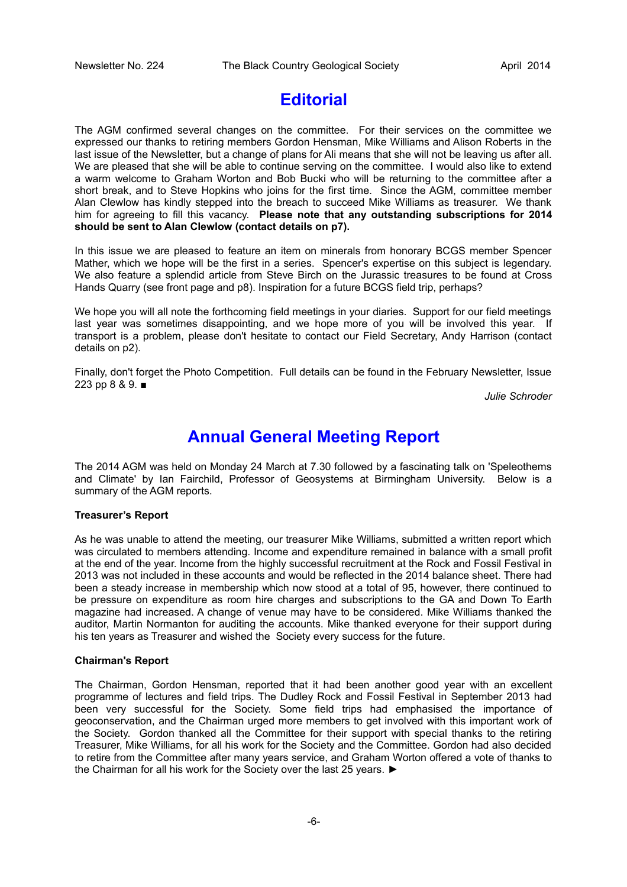# **Editorial**

The AGM confirmed several changes on the committee. For their services on the committee we expressed our thanks to retiring members Gordon Hensman, Mike Williams and Alison Roberts in the last issue of the Newsletter, but a change of plans for Ali means that she will not be leaving us after all. We are pleased that she will be able to continue serving on the committee. I would also like to extend a warm welcome to Graham Worton and Bob Bucki who will be returning to the committee after a short break, and to Steve Hopkins who joins for the first time. Since the AGM, committee member Alan Clewlow has kindly stepped into the breach to succeed Mike Williams as treasurer. We thank him for agreeing to fill this vacancy. **Please note that any outstanding subscriptions for 2014 should be sent to Alan Clewlow (contact details on p7).**

In this issue we are pleased to feature an item on minerals from honorary BCGS member Spencer Mather, which we hope will be the first in a series. Spencer's expertise on this subject is legendary. We also feature a splendid article from Steve Birch on the Jurassic treasures to be found at Cross Hands Quarry (see front page and p8). Inspiration for a future BCGS field trip, perhaps?

We hope you will all note the forthcoming field meetings in your diaries. Support for our field meetings last year was sometimes disappointing, and we hope more of you will be involved this year. If transport is a problem, please don't hesitate to contact our Field Secretary, Andy Harrison (contact details on p2).

Finally, don't forget the Photo Competition. Full details can be found in the February Newsletter, Issue 223 pp 8 & 9. ■

*Julie Schroder*

# **Annual General Meeting Report**

The 2014 AGM was held on Monday 24 March at 7.30 followed by a fascinating talk on 'Speleothems and Climate' by Ian Fairchild, Professor of Geosystems at Birmingham University. Below is a summary of the AGM reports.

#### **Treasurer's Report**

As he was unable to attend the meeting, our treasurer Mike Williams, submitted a written report which was circulated to members attending. Income and expenditure remained in balance with a small profit at the end of the year. Income from the highly successful recruitment at the Rock and Fossil Festival in 2013 was not included in these accounts and would be reflected in the 2014 balance sheet. There had been a steady increase in membership which now stood at a total of 95, however, there continued to be pressure on expenditure as room hire charges and subscriptions to the GA and Down To Earth magazine had increased. A change of venue may have to be considered. Mike Williams thanked the auditor, Martin Normanton for auditing the accounts. Mike thanked everyone for their support during his ten years as Treasurer and wished the Society every success for the future.

#### **Chairman's Report**

The Chairman, Gordon Hensman, reported that it had been another good year with an excellent programme of lectures and field trips. The Dudley Rock and Fossil Festival in September 2013 had been very successful for the Society. Some field trips had emphasised the importance of geoconservation, and the Chairman urged more members to get involved with this important work of the Society. Gordon thanked all the Committee for their support with special thanks to the retiring Treasurer, Mike Williams, for all his work for the Society and the Committee. Gordon had also decided to retire from the Committee after many years service, and Graham Worton offered a vote of thanks to the Chairman for all his work for the Society over the last 25 years. ►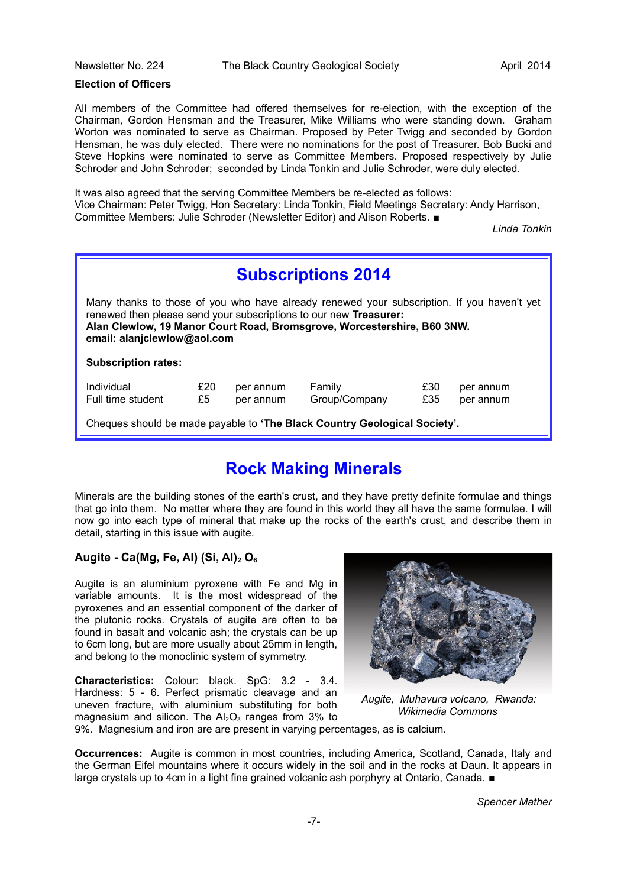#### **Election of Officers**

All members of the Committee had offered themselves for re-election, with the exception of the Chairman, Gordon Hensman and the Treasurer, Mike Williams who were standing down. Graham Worton was nominated to serve as Chairman. Proposed by Peter Twigg and seconded by Gordon Hensman, he was duly elected. There were no nominations for the post of Treasurer. Bob Bucki and Steve Hopkins were nominated to serve as Committee Members. Proposed respectively by Julie Schroder and John Schroder; seconded by Linda Tonkin and Julie Schroder, were duly elected.

It was also agreed that the serving Committee Members be re-elected as follows: Vice Chairman: Peter Twigg, Hon Secretary: Linda Tonkin, Field Meetings Secretary: Andy Harrison, Committee Members: Julie Schroder (Newsletter Editor) and Alison Roberts. ■

*Linda Tonkin*

| <b>Subscriptions 2014</b>                                                                                                                                                                                                                                                 |           |                        |                         |            |                        |  |
|---------------------------------------------------------------------------------------------------------------------------------------------------------------------------------------------------------------------------------------------------------------------------|-----------|------------------------|-------------------------|------------|------------------------|--|
| Many thanks to those of you who have already renewed your subscription. If you haven't yet<br>renewed then please send your subscriptions to our new Treasurer:<br>Alan Clewlow, 19 Manor Court Road, Bromsgrove, Worcestershire, B60 3NW.<br>email: alanjclewlow@aol.com |           |                        |                         |            |                        |  |
| <b>Subscription rates:</b>                                                                                                                                                                                                                                                |           |                        |                         |            |                        |  |
| Individual<br>Full time student                                                                                                                                                                                                                                           | £20<br>£5 | per annum<br>per annum | Family<br>Group/Company | £30<br>£35 | per annum<br>per annum |  |
| Cheques should be made payable to 'The Black Country Geological Society'.                                                                                                                                                                                                 |           |                        |                         |            |                        |  |

# **Rock Making Minerals**

Minerals are the building stones of the earth's crust, and they have pretty definite formulae and things that go into them. No matter where they are found in this world they all have the same formulae. I will now go into each type of mineral that make up the rocks of the earth's crust, and describe them in detail, starting in this issue with augite.

### **Augite - Ca(Mg, Fe, Al) (Si, Al)2 O<sup>6</sup>**

Augite is an aluminium pyroxene with Fe and Mg in variable amounts. It is the most widespread of the pyroxenes and an essential component of the darker of the plutonic rocks. Crystals of augite are often to be found in basalt and volcanic ash; the crystals can be up to 6cm long, but are more usually about 25mm in length, and belong to the monoclinic system of symmetry.

**Characteristics:** Colour: black. SpG: 3.2 - 3.4. Hardness: 5 - 6. Perfect prismatic cleavage and an uneven fracture, with aluminium substituting for both magnesium and silicon. The  $Al_2O_3$  ranges from 3% to



 *Augite, Muhavura volcano, Rwanda: Wikimedia Commons*

9%. Magnesium and iron are are present in varying percentages, as is calcium.

**Occurrences:** Augite is common in most countries, including America, Scotland, Canada, Italy and the German Eifel mountains where it occurs widely in the soil and in the rocks at Daun. It appears in large crystals up to 4cm in a light fine grained volcanic ash porphyry at Ontario, Canada. ■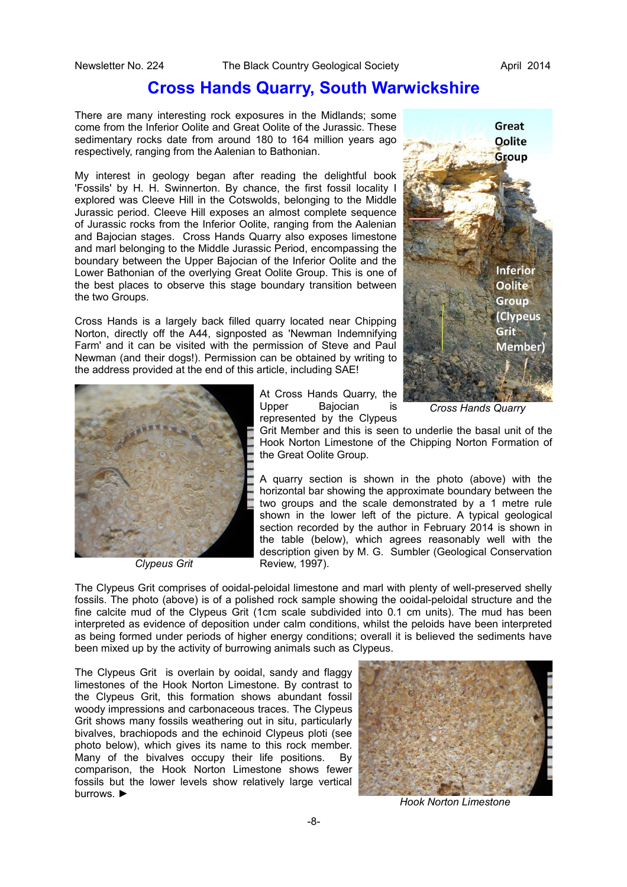## **Cross Hands Quarry, South Warwickshire**

There are many interesting rock exposures in the Midlands; some come from the Inferior Oolite and Great Oolite of the Jurassic. These sedimentary rocks date from around 180 to 164 million years ago respectively, ranging from the Aalenian to Bathonian.

My interest in geology began after reading the delightful book 'Fossils' by H. H. Swinnerton. By chance, the first fossil locality I explored was Cleeve Hill in the Cotswolds, belonging to the Middle Jurassic period. Cleeve Hill exposes an almost complete sequence of Jurassic rocks from the Inferior Oolite, ranging from the Aalenian and Bajocian stages. Cross Hands Quarry also exposes limestone and marl belonging to the Middle Jurassic Period, encompassing the boundary between the Upper Bajocian of the Inferior Oolite and the Lower Bathonian of the overlying Great Oolite Group. This is one of the best places to observe this stage boundary transition between the two Groups.

Cross Hands is a largely back filled quarry located near Chipping Norton, directly off the A44, signposted as 'Newman Indemnifying Farm' and it can be visited with the permission of Steve and Paul Newman (and their dogs!). Permission can be obtained by writing to the address provided at the end of this article, including SAE!



*Clypeus Grit*





*Cross Hands Quarry*

Grit Member and this is seen to underlie the basal unit of the Hook Norton Limestone of the Chipping Norton Formation of the Great Oolite Group.

A quarry section is shown in the photo (above) with the horizontal bar showing the approximate boundary between the two groups and the scale demonstrated by a 1 metre rule shown in the lower left of the picture. A typical geological section recorded by the author in February 2014 is shown in the table (below), which agrees reasonably well with the description given by M. G. Sumbler (Geological Conservation Review, 1997).

The Clypeus Grit comprises of ooidal-peloidal limestone and marl with plenty of well-preserved shelly fossils. The photo (above) is of a polished rock sample showing the ooidal-peloidal structure and the fine calcite mud of the Clypeus Grit (1cm scale subdivided into 0.1 cm units). The mud has been interpreted as evidence of deposition under calm conditions, whilst the peloids have been interpreted as being formed under periods of higher energy conditions; overall it is believed the sediments have been mixed up by the activity of burrowing animals such as Clypeus.

The Clypeus Grit is overlain by ooidal, sandy and flaggy limestones of the Hook Norton Limestone. By contrast to the Clypeus Grit, this formation shows abundant fossil woody impressions and carbonaceous traces. The Clypeus Grit shows many fossils weathering out in situ, particularly bivalves, brachiopods and the echinoid Clypeus ploti (see photo below), which gives its name to this rock member. Many of the bivalves occupy their life positions. By comparison, the Hook Norton Limestone shows fewer fossils but the lower levels show relatively large vertical burrows. ►



*Hook Norton Limestone*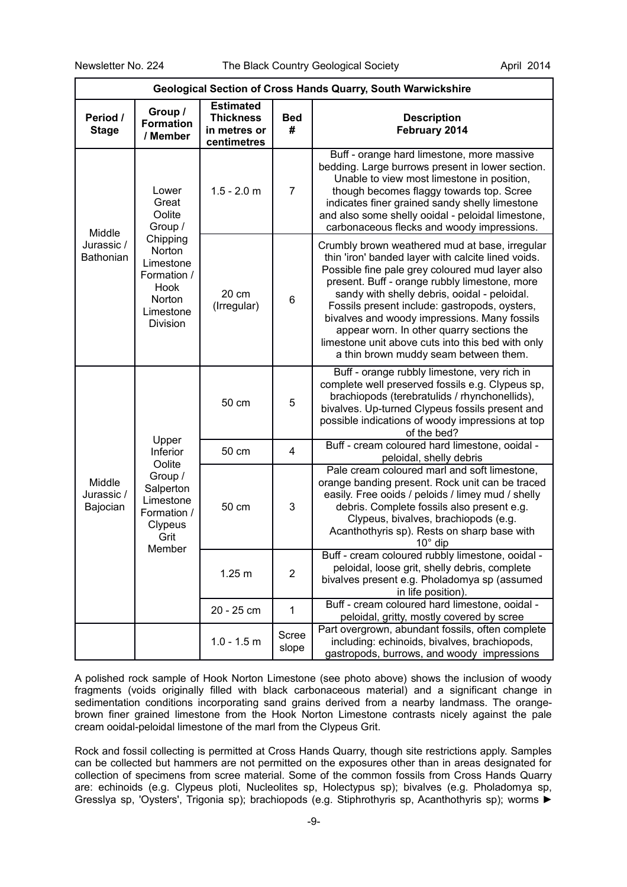| <b>Geological Section of Cross Hands Quarry, South Warwickshire</b>                                                                              |                                         |                                                                     |                                                                                                                                                                                                                                                                         |                                                                                                                                                                                                                                                                                                                                                                                                                                                                                                      |
|--------------------------------------------------------------------------------------------------------------------------------------------------|-----------------------------------------|---------------------------------------------------------------------|-------------------------------------------------------------------------------------------------------------------------------------------------------------------------------------------------------------------------------------------------------------------------|------------------------------------------------------------------------------------------------------------------------------------------------------------------------------------------------------------------------------------------------------------------------------------------------------------------------------------------------------------------------------------------------------------------------------------------------------------------------------------------------------|
| Period /<br><b>Stage</b>                                                                                                                         | Group /<br><b>Formation</b><br>/ Member | <b>Estimated</b><br><b>Thickness</b><br>in metres or<br>centimetres | <b>Bed</b><br>#                                                                                                                                                                                                                                                         | <b>Description</b><br>February 2014                                                                                                                                                                                                                                                                                                                                                                                                                                                                  |
| Lower<br>Great<br>Oolite<br>Group /<br>Middle<br>Chipping<br>Jurassic /<br>Norton<br>Bathonian<br>Hook<br>Norton<br>Division                     |                                         | $1.5 - 2.0$ m                                                       | $\overline{7}$                                                                                                                                                                                                                                                          | Buff - orange hard limestone, more massive<br>bedding. Large burrows present in lower section.<br>Unable to view most limestone in position,<br>though becomes flaggy towards top. Scree<br>indicates finer grained sandy shelly limestone<br>and also some shelly ooidal - peloidal limestone,<br>carbonaceous flecks and woody impressions.                                                                                                                                                        |
|                                                                                                                                                  | Limestone<br>Formation /<br>Limestone   | 20 cm<br>(Irregular)                                                | 6                                                                                                                                                                                                                                                                       | Crumbly brown weathered mud at base, irregular<br>thin 'iron' banded layer with calcite lined voids.<br>Possible fine pale grey coloured mud layer also<br>present. Buff - orange rubbly limestone, more<br>sandy with shelly debris, ooidal - peloidal.<br>Fossils present include: gastropods, oysters,<br>bivalves and woody impressions. Many fossils<br>appear worn. In other quarry sections the<br>limestone unit above cuts into this bed with only<br>a thin brown muddy seam between them. |
| Upper<br>Inferior<br>Oolite<br>Group /<br>Middle<br>Salperton<br>Jurassic /<br>Limestone<br>Bajocian<br>Formation /<br>Clypeus<br>Grit<br>Member | 50 cm                                   | 5                                                                   | Buff - orange rubbly limestone, very rich in<br>complete well preserved fossils e.g. Clypeus sp,<br>brachiopods (terebratulids / rhynchonellids),<br>bivalves. Up-turned Clypeus fossils present and<br>possible indications of woody impressions at top<br>of the bed? |                                                                                                                                                                                                                                                                                                                                                                                                                                                                                                      |
|                                                                                                                                                  | 50 cm                                   | 4                                                                   | Buff - cream coloured hard limestone, ooidal -<br>peloidal, shelly debris                                                                                                                                                                                               |                                                                                                                                                                                                                                                                                                                                                                                                                                                                                                      |
|                                                                                                                                                  |                                         | 50 cm                                                               | 3                                                                                                                                                                                                                                                                       | Pale cream coloured marl and soft limestone,<br>orange banding present. Rock unit can be traced<br>easily. Free ooids / peloids / limey mud / shelly<br>debris. Complete fossils also present e.g.<br>Clypeus, bivalves, brachiopods (e.g.<br>Acanthothyris sp). Rests on sharp base with<br>$10^{\circ}$ dip                                                                                                                                                                                        |
|                                                                                                                                                  |                                         | 1.25 m                                                              | $\overline{\mathbf{c}}$                                                                                                                                                                                                                                                 | Buff - cream coloured rubbly limestone, ooidal<br>peloidal, loose grit, shelly debris, complete<br>bivalves present e.g. Pholadomya sp (assumed<br>in life position).                                                                                                                                                                                                                                                                                                                                |
|                                                                                                                                                  |                                         | 20 - 25 cm                                                          | 1                                                                                                                                                                                                                                                                       | Buff - cream coloured hard limestone, ooidal -<br>peloidal, gritty, mostly covered by scree                                                                                                                                                                                                                                                                                                                                                                                                          |
|                                                                                                                                                  |                                         | $1.0 - 1.5$ m                                                       | Scree<br>slope                                                                                                                                                                                                                                                          | Part overgrown, abundant fossils, often complete<br>including: echinoids, bivalves, brachiopods,<br>gastropods, burrows, and woody impressions                                                                                                                                                                                                                                                                                                                                                       |

A polished rock sample of Hook Norton Limestone (see photo above) shows the inclusion of woody fragments (voids originally filled with black carbonaceous material) and a significant change in sedimentation conditions incorporating sand grains derived from a nearby landmass. The orangebrown finer grained limestone from the Hook Norton Limestone contrasts nicely against the pale cream ooidal-peloidal limestone of the marl from the Clypeus Grit.

Rock and fossil collecting is permitted at Cross Hands Quarry, though site restrictions apply. Samples can be collected but hammers are not permitted on the exposures other than in areas designated for collection of specimens from scree material. Some of the common fossils from Cross Hands Quarry are: echinoids (e.g. Clypeus ploti, Nucleolites sp, Holectypus sp); bivalves (e.g. Pholadomya sp, Gresslya sp, 'Oysters', Trigonia sp); brachiopods (e.g. Stiphrothyris sp, Acanthothyris sp); worms ►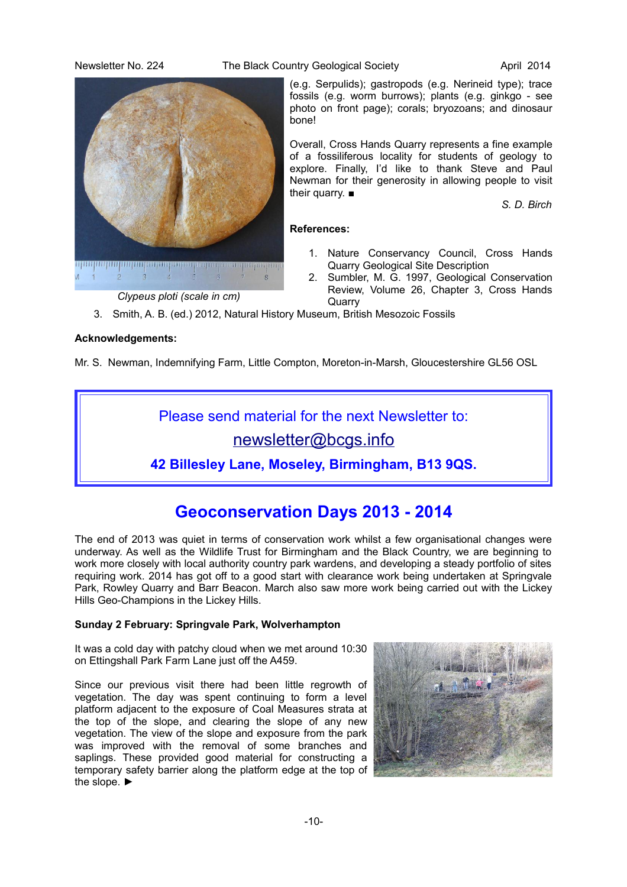Newsletter No. 224 The Black Country Geological Society **April 2014** 

<mark>արաքաղապատրաբայությու</mark>թյությությությությությո  $\overline{3}$  $\overline{A}$ 

*Clypeus ploti (scale in cm)*

(e.g. Serpulids); gastropods (e.g. Nerineid type); trace fossils (e.g. worm burrows); plants (e.g. ginkgo - see photo on front page); corals; bryozoans; and dinosaur bone!

Overall, Cross Hands Quarry represents a fine example of a fossiliferous locality for students of geology to explore. Finally, I'd like to thank Steve and Paul Newman for their generosity in allowing people to visit their quarry. ■

*S. D. Birch*

### **References:**

- 1. Nature Conservancy Council, Cross Hands Quarry Geological Site Description
- 2. Sumbler, M. G. 1997, Geological Conservation Review, Volume 26, Chapter 3, Cross Hands **Quarry**
- 3. Smith, A. B. (ed.) 2012, Natural History Museum, British Mesozoic Fossils

### **Acknowledgements:**

Mr. S. Newman, Indemnifying Farm, Little Compton, Moreton-in-Marsh, Gloucestershire GL56 OSL

Please send material for the next Newsletter to:

[newsletter@bcgs.info](mailto:newsletter@bcgs.info)

**42 Billesley Lane, Moseley, Birmingham, B13 9QS.**

# **Geoconservation Days 2013 - 2014**

The end of 2013 was quiet in terms of conservation work whilst a few organisational changes were underway. As well as the Wildlife Trust for Birmingham and the Black Country, we are beginning to work more closely with local authority country park wardens, and developing a steady portfolio of sites requiring work. 2014 has got off to a good start with clearance work being undertaken at Springvale Park, Rowley Quarry and Barr Beacon. March also saw more work being carried out with the Lickey Hills Geo-Champions in the Lickey Hills.

### **Sunday 2 February: Springvale Park, Wolverhampton**

It was a cold day with patchy cloud when we met around 10:30 on Ettingshall Park Farm Lane just off the A459.

Since our previous visit there had been little regrowth of vegetation. The day was spent continuing to form a level platform adjacent to the exposure of Coal Measures strata at the top of the slope, and clearing the slope of any new vegetation. The view of the slope and exposure from the park was improved with the removal of some branches and saplings. These provided good material for constructing a temporary safety barrier along the platform edge at the top of the slope. ►

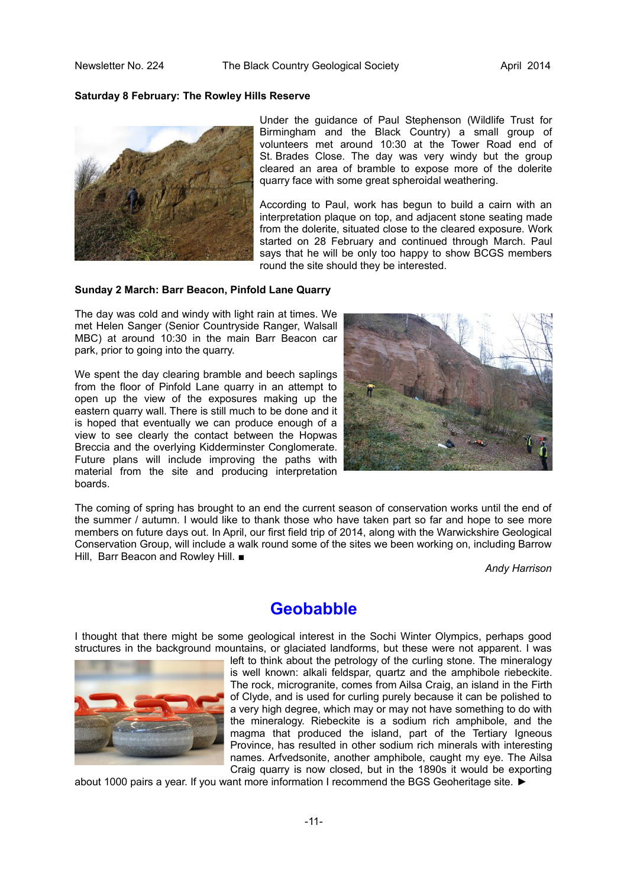#### **Saturday 8 February: The Rowley Hills Reserve**



Under the guidance of Paul Stephenson (Wildlife Trust for Birmingham and the Black Country) a small group of volunteers met around 10:30 at the Tower Road end of St. Brades Close. The day was very windy but the group cleared an area of bramble to expose more of the dolerite quarry face with some great spheroidal weathering.

According to Paul, work has begun to build a cairn with an interpretation plaque on top, and adjacent stone seating made from the dolerite, situated close to the cleared exposure. Work started on 28 February and continued through March. Paul says that he will be only too happy to show BCGS members round the site should they be interested.

#### **Sunday 2 March: Barr Beacon, Pinfold Lane Quarry**

The day was cold and windy with light rain at times. We met Helen Sanger (Senior Countryside Ranger, Walsall MBC) at around 10:30 in the main Barr Beacon car park, prior to going into the quarry.

We spent the day clearing bramble and beech saplings from the floor of Pinfold Lane quarry in an attempt to open up the view of the exposures making up the eastern quarry wall. There is still much to be done and it is hoped that eventually we can produce enough of a view to see clearly the contact between the Hopwas Breccia and the overlying Kidderminster Conglomerate. Future plans will include improving the paths with material from the site and producing interpretation boards.



The coming of spring has brought to an end the current season of conservation works until the end of the summer / autumn. I would like to thank those who have taken part so far and hope to see more members on future days out. In April, our first field trip of 2014, along with the Warwickshire Geological Conservation Group, will include a walk round some of the sites we been working on, including Barrow Hill, Barr Beacon and Rowley Hill. ■

*Andy Harrison*

### **Geobabble**

I thought that there might be some geological interest in the Sochi Winter Olympics, perhaps good structures in the background mountains, or glaciated landforms, but these were not apparent. I was



left to think about the petrology of the curling stone. The mineralogy is well known: alkali feldspar, quartz and the amphibole riebeckite. The rock, microgranite, comes from Ailsa Craig, an island in the Firth of Clyde, and is used for curling purely because it can be polished to a very high degree, which may or may not have something to do with the mineralogy. Riebeckite is a sodium rich amphibole, and the magma that produced the island, part of the Tertiary Igneous Province, has resulted in other sodium rich minerals with interesting names. Arfvedsonite, another amphibole, caught my eye. The Ailsa Craig quarry is now closed, but in the 1890s it would be exporting

about 1000 pairs a year. If you want more information I recommend the BGS Geoheritage site. ►